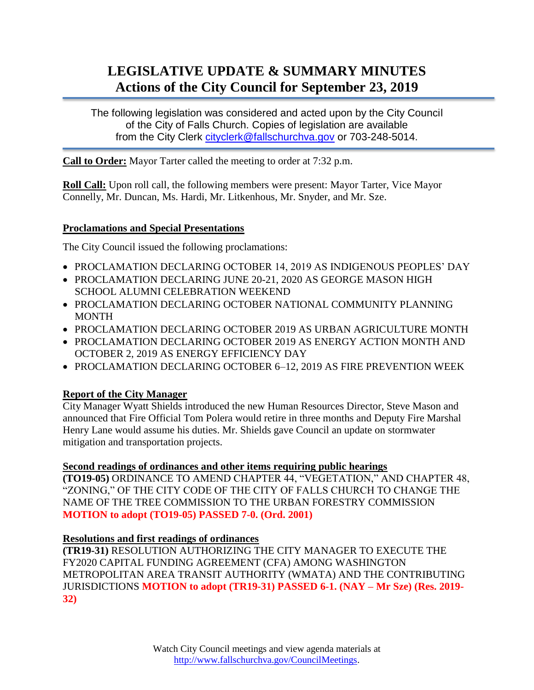# **LEGISLATIVE UPDATE & SUMMARY MINUTES Actions of the City Council for September 23, 2019**

The following legislation was considered and acted upon by the City Council of the City of Falls Church. Copies of legislation are available from the City Clerk [cityclerk@fallschurchva.gov](mailto:cityclerk@fallschurchva.gov) or 703-248-5014.

**Call to Order:** Mayor Tarter called the meeting to order at 7:32 p.m.

**Roll Call:** Upon roll call, the following members were present: Mayor Tarter, Vice Mayor Connelly, Mr. Duncan, Ms. Hardi, Mr. Litkenhous, Mr. Snyder, and Mr. Sze.

#### **Proclamations and Special Presentations**

The City Council issued the following proclamations:

- PROCLAMATION DECLARING OCTOBER 14, 2019 AS INDIGENOUS PEOPLES' DAY
- PROCLAMATION DECLARING JUNE 20-21, 2020 AS GEORGE MASON HIGH SCHOOL ALUMNI CELEBRATION WEEKEND
- PROCLAMATION DECLARING OCTOBER NATIONAL COMMUNITY PLANNING MONTH
- PROCLAMATION DECLARING OCTOBER 2019 AS URBAN AGRICULTURE MONTH
- PROCLAMATION DECLARING OCTOBER 2019 AS ENERGY ACTION MONTH AND OCTOBER 2, 2019 AS ENERGY EFFICIENCY DAY
- PROCLAMATION DECLARING OCTOBER 6-12, 2019 AS FIRE PREVENTION WEEK

## **Report of the City Manager**

City Manager Wyatt Shields introduced the new Human Resources Director, Steve Mason and announced that Fire Official Tom Polera would retire in three months and Deputy Fire Marshal Henry Lane would assume his duties. Mr. Shields gave Council an update on stormwater mitigation and transportation projects.

## **Second readings of ordinances and other items requiring public hearings**

**(TO19-05)** ORDINANCE TO AMEND CHAPTER 44, "VEGETATION," AND CHAPTER 48, "ZONING," OF THE CITY CODE OF THE CITY OF FALLS CHURCH TO CHANGE THE NAME OF THE TREE COMMISSION TO THE URBAN FORESTRY COMMISSION **MOTION to adopt (TO19-05) PASSED 7-0. (Ord. 2001)**

#### **Resolutions and first readings of ordinances**

**(TR19-31)** RESOLUTION AUTHORIZING THE CITY MANAGER TO EXECUTE THE FY2020 CAPITAL FUNDING AGREEMENT (CFA) AMONG WASHINGTON METROPOLITAN AREA TRANSIT AUTHORITY (WMATA) AND THE CONTRIBUTING JURISDICTIONS **MOTION to adopt (TR19-31) PASSED 6-1. (NAY – Mr Sze) (Res. 2019- 32)**